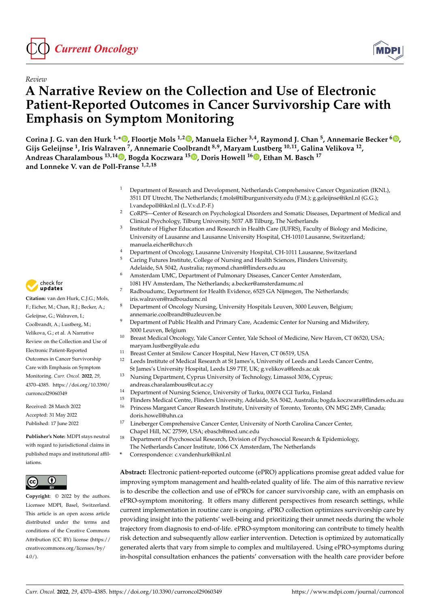



# **A Narrative Review on the Collection and Use of Electronic Patient-Reported Outcomes in Cancer Survivorship Care with Emphasis on Symptom Monitoring**

**Corina J. G. van den Hurk 1,[\\*](https://orcid.org/0000-0002-7802-1034) , Floortje Mols 1,2 [,](https://orcid.org/0000-0003-0818-2913) Manuela Eicher 3,4, Raymond J. Chan <sup>5</sup> , Annemarie Becker <sup>6</sup> [,](https://orcid.org/0000-0003-4405-5102) Gijs Geleijnse <sup>1</sup> , Iris Walraven <sup>7</sup> , Annemarie Coolbrandt 8,9, Maryam Lustberg 10,11, Galina Velikova <sup>12</sup> , Andreas Charalambous 13,14 [,](https://orcid.org/0000-0003-4050-031X) Bogda Koczwara <sup>15</sup> [,](https://orcid.org/0000-0002-1201-1642) Doris Howell <sup>16</sup> [,](https://orcid.org/0000-0002-0683-8715) Ethan M. Basch <sup>17</sup> and Lonneke V. van de Poll-Franse 1,2,18**

- <sup>1</sup> Department of Research and Development, Netherlands Comprehensive Cancer Organization (IKNL), 3511 DT Utrecht, The Netherlands; f.mols@tilburguniversity.edu (F.M.); g.geleijnse@iknl.nl (G.G.); l.vandepoll@iknl.nl (L.V.v.d.P.-F.)
- <sup>2</sup> CoRPS—Center of Research on Psychological Disorders and Somatic Diseases, Department of Medical and Clinical Psychology, Tilburg University, 5037 AB Tilburg, The Netherlands
- 3 Institute of Higher Education and Research in Health Care (IUFRS), Faculty of Biology and Medicine, University of Lausanne and Lausanne University Hospital, CH-1010 Lausanne, Switzerland; manuela.eicher@chuv.ch
- <sup>4</sup> Department of Oncology, Lausanne University Hospital, CH-1011 Lausanne, Switzerland<br><sup>5</sup> Carina Eutures Institute, Callege of Nursing and Hoskh Sciences, Elinders University
- <sup>5</sup> Caring Futures Institute, College of Nursing and Health Sciences, Flinders University, Adelaide, SA 5042, Australia; raymond.chan@flinders.edu.au
- Amsterdam UMC, Department of Pulmonary Diseases, Cancer Center Amsterdam, 1081 HV Amsterdam, The Netherlands; a.becker@amsterdamumc.nl
- <sup>7</sup> Radboudumc, Department for Health Evidence, 6525 GA Nijmegen, The Netherlands; iris.walraven@radboudumc.nl
- <sup>8</sup> Department of Oncology Nursing, University Hospitals Leuven, 3000 Leuven, Belgium; annemarie.coolbrandt@uzleuven.be
- <sup>9</sup> Department of Public Health and Primary Care, Academic Center for Nursing and Midwifery, 3000 Leuven, Belgium
- <sup>10</sup> Breast Medical Oncology, Yale Cancer Center, Yale School of Medicine, New Haven, CT 06520, USA; maryam.lustberg@yale.edu
- <sup>11</sup> Breast Center at Smilow Cancer Hospital, New Haven, CT 06519, USA<br><sup>12</sup> Loods Institute of Medical Becoarsh at St James's University of Loods at
- <sup>12</sup> Leeds Institute of Medical Research at St James's, University of Leeds and Leeds Cancer Centre, St James's University Hospital, Leeds LS9 7TF, UK; g.velikova@leeds.ac.uk
- <sup>13</sup> Nursing Department, Cyprus University of Technology, Limassol 3036, Cyprus;
	- andreas.charalambous@cut.ac.cy
- <sup>14</sup> Department of Nursing Science, University of Turku, 00074 CGI Turku, Finland
- <sup>15</sup> Flinders Medical Centre, Flinders University, Adelaide, SA 5042, Australia; bogda.koczwara@flinders.edu.au<br><sup>16</sup> Princes Marcaret Cancar Pescareb Institute, University of Terenta Terenta ON M5C 2M9, Canada;
- <sup>16</sup> Princess Margaret Cancer Research Institute, University of Toronto, Toronto, ON M5G 2M9, Canada; doris.howell@uhn.ca
- <sup>17</sup> Lineberger Comprehensive Cancer Center, University of North Carolina Cancer Center, Chapel Hill, NC 27599, USA; ebasch@med.unc.edu
- <sup>18</sup> Department of Psychosocial Research, Division of Psychosocial Research & Epidemiology,
- The Netherlands Cancer Institute, 1066 CX Amsterdam, The Netherlands
- **\*** Correspondence: c.vandenhurk@iknl.nl

**Abstract:** Electronic patient-reported outcome (ePRO) applications promise great added value for improving symptom management and health-related quality of life. The aim of this narrative review is to describe the collection and use of ePROs for cancer survivorship care, with an emphasis on ePRO-symptom monitoring. It offers many different perspectives from research settings, while current implementation in routine care is ongoing. ePRO collection optimizes survivorship care by providing insight into the patients' well-being and prioritizing their unmet needs during the whole trajectory from diagnosis to end-of-life. ePRO-symptom monitoring can contribute to timely health risk detection and subsequently allow earlier intervention. Detection is optimized by automatically generated alerts that vary from simple to complex and multilayered. Using ePRO-symptoms during in-hospital consultation enhances the patients' conversation with the health care provider before



**Citation:** van den Hurk, C.J.G.; Mols, F.; Eicher, M.; Chan, R.J.; Becker, A.; Geleijnse, G.; Walraven, I.; Coolbrandt, A.; Lustberg, M.; Velikova, G.; et al. A Narrative Review on the Collection and Use of Electronic Patient-Reported Outcomes in Cancer Survivorship Care with Emphasis on Symptom Monitoring. *Curr. Oncol.* **2022**, *29*, 4370–4385. [https://doi.org/10.3390/](https://doi.org/10.3390/curroncol29060349) [curroncol29060349](https://doi.org/10.3390/curroncol29060349)

Received: 28 March 2022 Accepted: 31 May 2022 Published: 17 June 2022

**Publisher's Note:** MDPI stays neutral with regard to jurisdictional claims in published maps and institutional affiliations.



**Copyright:** © 2022 by the authors. Licensee MDPI, Basel, Switzerland. This article is an open access article distributed under the terms and conditions of the Creative Commons Attribution (CC BY) license [\(https://](https://creativecommons.org/licenses/by/4.0/) [creativecommons.org/licenses/by/](https://creativecommons.org/licenses/by/4.0/)  $4.0/$ ).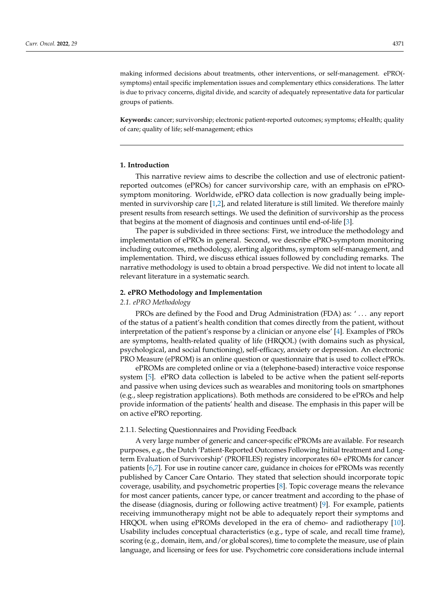making informed decisions about treatments, other interventions, or self-management. ePRO( symptoms) entail specific implementation issues and complementary ethics considerations. The latter is due to privacy concerns, digital divide, and scarcity of adequately representative data for particular groups of patients.

**Keywords:** cancer; survivorship; electronic patient-reported outcomes; symptoms; eHealth; quality of care; quality of life; self-management; ethics

## **1. Introduction**

This narrative review aims to describe the collection and use of electronic patientreported outcomes (ePROs) for cancer survivorship care, with an emphasis on ePROsymptom monitoring. Worldwide, ePRO data collection is now gradually being implemented in survivorship care [\[1](#page-11-0)[,2\]](#page-11-1), and related literature is still limited. We therefore mainly present results from research settings. We used the definition of survivorship as the process that begins at the moment of diagnosis and continues until end-of-life [\[3\]](#page-11-2).

The paper is subdivided in three sections: First, we introduce the methodology and implementation of ePROs in general. Second, we describe ePRO-symptom monitoring including outcomes, methodology, alerting algorithms, symptom self-management, and implementation. Third, we discuss ethical issues followed by concluding remarks. The narrative methodology is used to obtain a broad perspective. We did not intent to locate all relevant literature in a systematic search.

#### **2. ePRO Methodology and Implementation**

# *2.1. ePRO Methodology*

PROs are defined by the Food and Drug Administration (FDA) as: ' . . . any report of the status of a patient's health condition that comes directly from the patient, without interpretation of the patient's response by a clinician or anyone else' [\[4\]](#page-11-3). Examples of PROs are symptoms, health-related quality of life (HRQOL) (with domains such as physical, psychological, and social functioning), self-efficacy, anxiety or depression. An electronic PRO Measure (ePROM) is an online question or questionnaire that is used to collect ePROs.

ePROMs are completed online or via a (telephone-based) interactive voice response system [\[5\]](#page-11-4). ePRO data collection is labeled to be active when the patient self-reports and passive when using devices such as wearables and monitoring tools on smartphones (e.g., sleep registration applications). Both methods are considered to be ePROs and help provide information of the patients' health and disease. The emphasis in this paper will be on active ePRO reporting.

# 2.1.1. Selecting Questionnaires and Providing Feedback

A very large number of generic and cancer-specific ePROMs are available. For research purposes, e.g., the Dutch 'Patient-Reported Outcomes Following Initial treatment and Longterm Evaluation of Survivorship' (PROFILES) registry incorporates 60+ ePROMs for cancer patients [\[6,](#page-11-5)[7\]](#page-11-6). For use in routine cancer care, guidance in choices for ePROMs was recently published by Cancer Care Ontario. They stated that selection should incorporate topic coverage, usability, and psychometric properties [\[8\]](#page-11-7). Topic coverage means the relevance for most cancer patients, cancer type, or cancer treatment and according to the phase of the disease (diagnosis, during or following active treatment) [\[9\]](#page-11-8). For example, patients receiving immunotherapy might not be able to adequately report their symptoms and HRQOL when using ePROMs developed in the era of chemo- and radiotherapy [\[10\]](#page-11-9). Usability includes conceptual characteristics (e.g., type of scale, and recall time frame), scoring (e.g., domain, item, and/or global scores), time to complete the measure, use of plain language, and licensing or fees for use. Psychometric core considerations include internal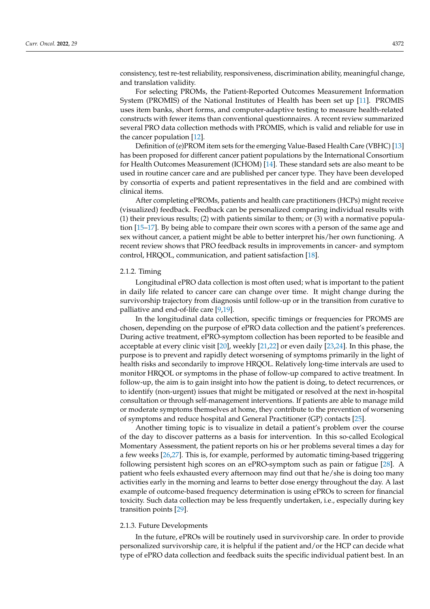consistency, test re-test reliability, responsiveness, discrimination ability, meaningful change, and translation validity.

For selecting PROMs, the Patient-Reported Outcomes Measurement Information System (PROMIS) of the National Institutes of Health has been set up [\[11\]](#page-11-10). PROMIS uses item banks, short forms, and computer-adaptive testing to measure health-related constructs with fewer items than conventional questionnaires. A recent review summarized several PRO data collection methods with PROMIS, which is valid and reliable for use in the cancer population [\[12\]](#page-11-11).

Definition of (e)PROM item sets for the emerging Value-Based Health Care (VBHC) [\[13\]](#page-11-12) has been proposed for different cancer patient populations by the International Consortium for Health Outcomes Measurement (ICHOM) [\[14\]](#page-11-13). These standard sets are also meant to be used in routine cancer care and are published per cancer type. They have been developed by consortia of experts and patient representatives in the field and are combined with clinical items.

After completing ePROMs, patients and health care practitioners (HCPs) might receive (visualized) feedback. Feedback can be personalized comparing individual results with (1) their previous results; (2) with patients similar to them; or (3) with a normative population [\[15](#page-11-14)[–17\]](#page-11-15). By being able to compare their own scores with a person of the same age and sex without cancer, a patient might be able to better interpret his/her own functioning. A recent review shows that PRO feedback results in improvements in cancer- and symptom control, HRQOL, communication, and patient satisfaction [\[18\]](#page-11-16).

## 2.1.2. Timing

Longitudinal ePRO data collection is most often used; what is important to the patient in daily life related to cancer care can change over time. It might change during the survivorship trajectory from diagnosis until follow-up or in the transition from curative to palliative and end-of-life care [\[9](#page-11-8)[,19\]](#page-11-17).

In the longitudinal data collection, specific timings or frequencies for PROMS are chosen, depending on the purpose of ePRO data collection and the patient's preferences. During active treatment, ePRO-symptom collection has been reported to be feasible and acceptable at every clinic visit [\[20\]](#page-12-0), weekly [\[21](#page-12-1)[,22\]](#page-12-2) or even daily [\[23,](#page-12-3)[24\]](#page-12-4). In this phase, the purpose is to prevent and rapidly detect worsening of symptoms primarily in the light of health risks and secondarily to improve HRQOL. Relatively long-time intervals are used to monitor HRQOL or symptoms in the phase of follow-up compared to active treatment. In follow-up, the aim is to gain insight into how the patient is doing, to detect recurrences, or to identify (non-urgent) issues that might be mitigated or resolved at the next in-hospital consultation or through self-management interventions. If patients are able to manage mild or moderate symptoms themselves at home, they contribute to the prevention of worsening of symptoms and reduce hospital and General Practitioner (GP) contacts [\[25\]](#page-12-5).

Another timing topic is to visualize in detail a patient's problem over the course of the day to discover patterns as a basis for intervention. In this so-called Ecological Momentary Assessment, the patient reports on his or her problems several times a day for a few weeks [\[26,](#page-12-6)[27\]](#page-12-7). This is, for example, performed by automatic timing-based triggering following persistent high scores on an ePRO-symptom such as pain or fatigue [\[28\]](#page-12-8). A patient who feels exhausted every afternoon may find out that he/she is doing too many activities early in the morning and learns to better dose energy throughout the day. A last example of outcome-based frequency determination is using ePROs to screen for financial toxicity. Such data collection may be less frequently undertaken, i.e., especially during key transition points [\[29\]](#page-12-9).

# 2.1.3. Future Developments

In the future, ePROs will be routinely used in survivorship care. In order to provide personalized survivorship care, it is helpful if the patient and/or the HCP can decide what type of ePRO data collection and feedback suits the specific individual patient best. In an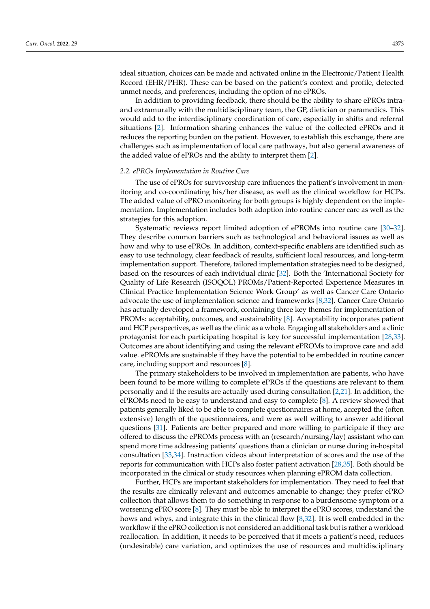ideal situation, choices can be made and activated online in the Electronic/Patient Health Record (EHR/PHR). These can be based on the patient's context and profile, detected unmet needs, and preferences, including the option of no ePROs.

In addition to providing feedback, there should be the ability to share ePROs intraand extramurally with the multidisciplinary team, the GP, dietician or paramedics. This would add to the interdisciplinary coordination of care, especially in shifts and referral situations [\[2\]](#page-11-1). Information sharing enhances the value of the collected ePROs and it reduces the reporting burden on the patient. However, to establish this exchange, there are challenges such as implementation of local care pathways, but also general awareness of the added value of ePROs and the ability to interpret them [\[2\]](#page-11-1).

#### *2.2. ePROs Implementation in Routine Care*

The use of ePROs for survivorship care influences the patient's involvement in monitoring and co-coordinating his/her disease, as well as the clinical workflow for HCPs. The added value of ePRO monitoring for both groups is highly dependent on the implementation. Implementation includes both adoption into routine cancer care as well as the strategies for this adoption.

Systematic reviews report limited adoption of ePROMs into routine care [\[30](#page-12-10)[–32\]](#page-12-11). They describe common barriers such as technological and behavioral issues as well as how and why to use ePROs. In addition, context-specific enablers are identified such as easy to use technology, clear feedback of results, sufficient local resources, and long-term implementation support. Therefore, tailored implementation strategies need to be designed, based on the resources of each individual clinic [\[32\]](#page-12-11). Both the 'International Society for Quality of Life Research (ISOQOL) PROMs/Patient-Reported Experience Measures in Clinical Practice Implementation Science Work Group' as well as Cancer Care Ontario advocate the use of implementation science and frameworks [\[8](#page-11-7)[,32\]](#page-12-11). Cancer Care Ontario has actually developed a framework, containing three key themes for implementation of PROMs: acceptability, outcomes, and sustainability [\[8\]](#page-11-7). Acceptability incorporates patient and HCP perspectives, as well as the clinic as a whole. Engaging all stakeholders and a clinic protagonist for each participating hospital is key for successful implementation [\[28,](#page-12-8)[33\]](#page-12-12). Outcomes are about identifying and using the relevant ePROMs to improve care and add value. ePROMs are sustainable if they have the potential to be embedded in routine cancer care, including support and resources [\[8\]](#page-11-7).

The primary stakeholders to be involved in implementation are patients, who have been found to be more willing to complete ePROs if the questions are relevant to them personally and if the results are actually used during consultation [\[2,](#page-11-1)[21\]](#page-12-1). In addition, the ePROMs need to be easy to understand and easy to complete [\[8\]](#page-11-7). A review showed that patients generally liked to be able to complete questionnaires at home, accepted the (often extensive) length of the questionnaires, and were as well willing to answer additional questions [\[31\]](#page-12-13). Patients are better prepared and more willing to participate if they are offered to discuss the ePROMs process with an (research/nursing/lay) assistant who can spend more time addressing patients' questions than a clinician or nurse during in-hospital consultation [\[33](#page-12-12)[,34\]](#page-12-14). Instruction videos about interpretation of scores and the use of the reports for communication with HCPs also foster patient activation [\[28](#page-12-8)[,35\]](#page-12-15). Both should be incorporated in the clinical or study resources when planning ePROM data collection.

Further, HCPs are important stakeholders for implementation. They need to feel that the results are clinically relevant and outcomes amenable to change; they prefer ePRO collection that allows them to do something in response to a burdensome symptom or a worsening ePRO score [\[8\]](#page-11-7). They must be able to interpret the ePRO scores, understand the hows and whys, and integrate this in the clinical flow [\[8](#page-11-7)[,32\]](#page-12-11). It is well embedded in the workflow if the ePRO collection is not considered an additional task but is rather a workload reallocation. In addition, it needs to be perceived that it meets a patient's need, reduces (undesirable) care variation, and optimizes the use of resources and multidisciplinary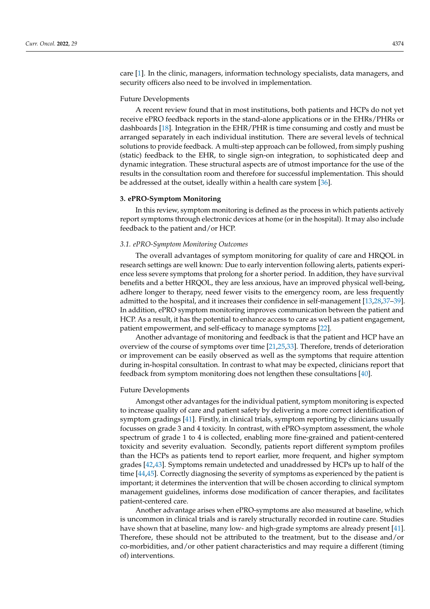care [\[1\]](#page-11-0). In the clinic, managers, information technology specialists, data managers, and security officers also need to be involved in implementation.

#### Future Developments

A recent review found that in most institutions, both patients and HCPs do not yet receive ePRO feedback reports in the stand-alone applications or in the EHRs/PHRs or dashboards [\[18\]](#page-11-16). Integration in the EHR/PHR is time consuming and costly and must be arranged separately in each individual institution. There are several levels of technical solutions to provide feedback. A multi-step approach can be followed, from simply pushing (static) feedback to the EHR, to single sign-on integration, to sophisticated deep and dynamic integration. These structural aspects are of utmost importance for the use of the results in the consultation room and therefore for successful implementation. This should be addressed at the outset, ideally within a health care system [\[36\]](#page-12-16).

#### **3. ePRO-Symptom Monitoring**

In this review, symptom monitoring is defined as the process in which patients actively report symptoms through electronic devices at home (or in the hospital). It may also include feedback to the patient and/or HCP.

#### *3.1. ePRO-Symptom Monitoring Outcomes*

The overall advantages of symptom monitoring for quality of care and HRQOL in research settings are well known: Due to early intervention following alerts, patients experience less severe symptoms that prolong for a shorter period. In addition, they have survival benefits and a better HRQOL, they are less anxious, have an improved physical well-being, adhere longer to therapy, need fewer visits to the emergency room, are less frequently admitted to the hospital, and it increases their confidence in self-management [\[13](#page-11-12)[,28](#page-12-8)[,37](#page-12-17)[–39\]](#page-12-18). In addition, ePRO symptom monitoring improves communication between the patient and HCP. As a result, it has the potential to enhance access to care as well as patient engagement, patient empowerment, and self-efficacy to manage symptoms [\[22\]](#page-12-2).

Another advantage of monitoring and feedback is that the patient and HCP have an overview of the course of symptoms over time [\[21](#page-12-1)[,25,](#page-12-5)[33\]](#page-12-12). Therefore, trends of deterioration or improvement can be easily observed as well as the symptoms that require attention during in-hospital consultation. In contrast to what may be expected, clinicians report that feedback from symptom monitoring does not lengthen these consultations [\[40\]](#page-13-0).

## Future Developments

Amongst other advantages for the individual patient, symptom monitoring is expected to increase quality of care and patient safety by delivering a more correct identification of symptom gradings [\[41\]](#page-13-1). Firstly, in clinical trials, symptom reporting by clinicians usually focusses on grade 3 and 4 toxicity. In contrast, with ePRO-symptom assessment, the whole spectrum of grade 1 to 4 is collected, enabling more fine-grained and patient-centered toxicity and severity evaluation. Secondly, patients report different symptom profiles than the HCPs as patients tend to report earlier, more frequent, and higher symptom grades [\[42](#page-13-2)[,43\]](#page-13-3). Symptoms remain undetected and unaddressed by HCPs up to half of the time [\[44,](#page-13-4)[45\]](#page-13-5). Correctly diagnosing the severity of symptoms as experienced by the patient is important; it determines the intervention that will be chosen according to clinical symptom management guidelines, informs dose modification of cancer therapies, and facilitates patient-centered care.

Another advantage arises when ePRO-symptoms are also measured at baseline, which is uncommon in clinical trials and is rarely structurally recorded in routine care. Studies have shown that at baseline, many low- and high-grade symptoms are already present [\[41\]](#page-13-1). Therefore, these should not be attributed to the treatment, but to the disease and/or co-morbidities, and/or other patient characteristics and may require a different (timing of) interventions.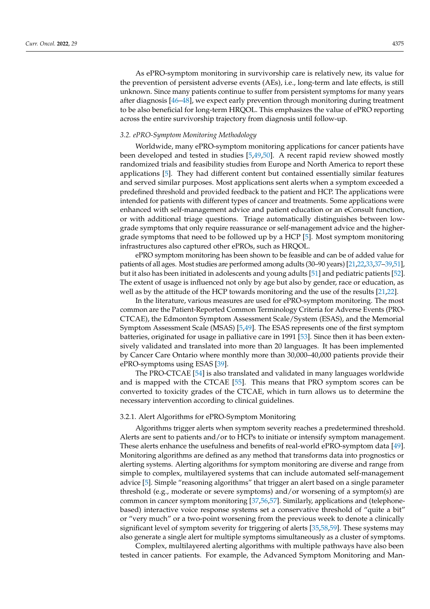As ePRO-symptom monitoring in survivorship care is relatively new, its value for the prevention of persistent adverse events (AEs), i.e., long-term and late effects, is still unknown. Since many patients continue to suffer from persistent symptoms for many years after diagnosis [\[46](#page-13-6)[–48\]](#page-13-7), we expect early prevention through monitoring during treatment to be also beneficial for long-term HRQOL. This emphasizes the value of ePRO reporting across the entire survivorship trajectory from diagnosis until follow-up.

#### *3.2. ePRO-Symptom Monitoring Methodology*

Worldwide, many ePRO-symptom monitoring applications for cancer patients have been developed and tested in studies [\[5,](#page-11-4)[49,](#page-13-8)[50\]](#page-13-9). A recent rapid review showed mostly randomized trials and feasibility studies from Europe and North America to report these applications [\[5\]](#page-11-4). They had different content but contained essentially similar features and served similar purposes. Most applications sent alerts when a symptom exceeded a predefined threshold and provided feedback to the patient and HCP. The applications were intended for patients with different types of cancer and treatments. Some applications were enhanced with self-management advice and patient education or an eConsult function, or with additional triage questions. Triage automatically distinguishes between lowgrade symptoms that only require reassurance or self-management advice and the highergrade symptoms that need to be followed up by a HCP [\[5\]](#page-11-4). Most symptom monitoring infrastructures also captured other ePROs, such as HRQOL.

ePRO symptom monitoring has been shown to be feasible and can be of added value for patients of all ages. Most studies are performed among adults (30–90 years) [\[21](#page-12-1)[,22](#page-12-2)[,33](#page-12-12)[,37](#page-12-17)[–39](#page-12-18)[,51\]](#page-13-10), but it also has been initiated in adolescents and young adults [\[51\]](#page-13-10) and pediatric patients [\[52\]](#page-13-11). The extent of usage is influenced not only by age but also by gender, race or education, as well as by the attitude of the HCP towards monitoring and the use of the results [\[21,](#page-12-1)[22\]](#page-12-2).

In the literature, various measures are used for ePRO-symptom monitoring. The most common are the Patient-Reported Common Terminology Criteria for Adverse Events (PRO-CTCAE), the Edmonton Symptom Assessment Scale/System (ESAS), and the Memorial Symptom Assessment Scale (MSAS) [\[5](#page-11-4)[,49\]](#page-13-8). The ESAS represents one of the first symptom batteries, originated for usage in palliative care in 1991 [\[53\]](#page-13-12). Since then it has been extensively validated and translated into more than 20 languages. It has been implemented by Cancer Care Ontario where monthly more than 30,000–40,000 patients provide their ePRO-symptoms using ESAS [\[39\]](#page-12-18).

The PRO-CTCAE [\[54\]](#page-13-13) is also translated and validated in many languages worldwide and is mapped with the CTCAE [\[55\]](#page-13-14). This means that PRO symptom scores can be converted to toxicity grades of the CTCAE, which in turn allows us to determine the necessary intervention according to clinical guidelines.

#### 3.2.1. Alert Algorithms for ePRO-Symptom Monitoring

Algorithms trigger alerts when symptom severity reaches a predetermined threshold. Alerts are sent to patients and/or to HCPs to initiate or intensify symptom management. These alerts enhance the usefulness and benefits of real-world ePRO-symptom data [\[49\]](#page-13-8). Monitoring algorithms are defined as any method that transforms data into prognostics or alerting systems. Alerting algorithms for symptom monitoring are diverse and range from simple to complex, multilayered systems that can include automated self-management advice [\[5\]](#page-11-4). Simple "reasoning algorithms" that trigger an alert based on a single parameter threshold (e.g., moderate or severe symptoms) and/or worsening of a symptom(s) are common in cancer symptom monitoring [\[37,](#page-12-17)[56](#page-13-15)[,57\]](#page-13-16). Similarly, applications and (telephonebased) interactive voice response systems set a conservative threshold of "quite a bit" or "very much" or a two-point worsening from the previous week to denote a clinically significant level of symptom severity for triggering of alerts [\[35](#page-12-15)[,58,](#page-13-17)[59\]](#page-13-18). These systems may also generate a single alert for multiple symptoms simultaneously as a cluster of symptoms.

Complex, multilayered alerting algorithms with multiple pathways have also been tested in cancer patients. For example, the Advanced Symptom Monitoring and Man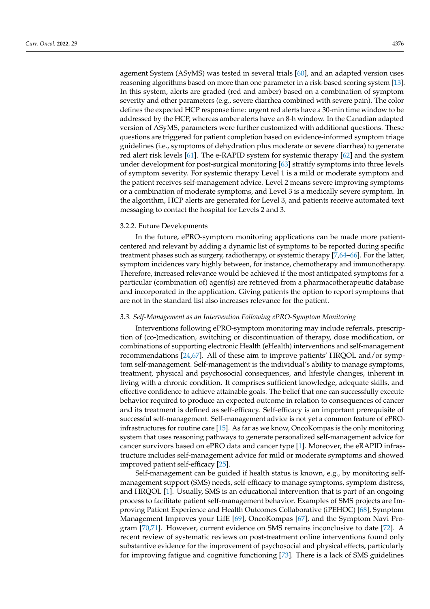agement System (ASyMS) was tested in several trials [\[60\]](#page-13-19), and an adapted version uses reasoning algorithms based on more than one parameter in a risk-based scoring system [\[13\]](#page-11-12). In this system, alerts are graded (red and amber) based on a combination of symptom severity and other parameters (e.g., severe diarrhea combined with severe pain). The color defines the expected HCP response time: urgent red alerts have a 30-min time window to be addressed by the HCP, whereas amber alerts have an 8-h window. In the Canadian adapted version of ASyMS, parameters were further customized with additional questions. These questions are triggered for patient completion based on evidence-informed symptom triage guidelines (i.e., symptoms of dehydration plus moderate or severe diarrhea) to generate red alert risk levels [\[61\]](#page-13-20). The e-RAPID system for systemic therapy [\[62\]](#page-13-21) and the system under development for post-surgical monitoring [\[63\]](#page-14-0) stratify symptoms into three levels of symptom severity. For systemic therapy Level 1 is a mild or moderate symptom and the patient receives self-management advice. Level 2 means severe improving symptoms or a combination of moderate symptoms, and Level 3 is a medically severe symptom. In the algorithm, HCP alerts are generated for Level 3, and patients receive automated text messaging to contact the hospital for Levels 2 and 3.

#### 3.2.2. Future Developments

In the future, ePRO-symptom monitoring applications can be made more patientcentered and relevant by adding a dynamic list of symptoms to be reported during specific treatment phases such as surgery, radiotherapy, or systemic therapy [\[7,](#page-11-6)[64–](#page-14-1)[66\]](#page-14-2). For the latter, symptom incidences vary highly between, for instance, chemotherapy and immunotherapy. Therefore, increased relevance would be achieved if the most anticipated symptoms for a particular (combination of) agent(s) are retrieved from a pharmacotherapeutic database and incorporated in the application. Giving patients the option to report symptoms that are not in the standard list also increases relevance for the patient.

#### *3.3. Self-Management as an Intervention Following ePRO-Symptom Monitoring*

Interventions following ePRO-symptom monitoring may include referrals, prescription of (co-)medication, switching or discontinuation of therapy, dose modification, or combinations of supporting electronic Health (eHealth) interventions and self-management recommendations [\[24,](#page-12-4)[67\]](#page-14-3). All of these aim to improve patients' HRQOL and/or symptom self-management. Self-management is the individual's ability to manage symptoms, treatment, physical and psychosocial consequences, and lifestyle changes, inherent in living with a chronic condition. It comprises sufficient knowledge, adequate skills, and effective confidence to achieve attainable goals. The belief that one can successfully execute behavior required to produce an expected outcome in relation to consequences of cancer and its treatment is defined as self-efficacy. Self-efficacy is an important prerequisite of successful self-management. Self-management advice is not yet a common feature of ePROinfrastructures for routine care [\[15\]](#page-11-14). As far as we know, OncoKompas is the only monitoring system that uses reasoning pathways to generate personalized self-management advice for cancer survivors based on ePRO data and cancer type [\[1\]](#page-11-0). Moreover, the eRAPID infrastructure includes self-management advice for mild or moderate symptoms and showed improved patient self-efficacy [\[25\]](#page-12-5).

Self-management can be guided if health status is known, e.g., by monitoring selfmanagement support (SMS) needs, self-efficacy to manage symptoms, symptom distress, and HRQOL [\[1\]](#page-11-0). Usually, SMS is an educational intervention that is part of an ongoing process to facilitate patient self-management behavior. Examples of SMS projects are Improving Patient Experience and Health Outcomes Collaborative (iPEHOC) [\[68\]](#page-14-4), Symptom Management Improves your LifE [\[69\]](#page-14-5), OncoKompas [\[67\]](#page-14-3), and the Symptom Navi Program [\[70,](#page-14-6)[71\]](#page-14-7). However, current evidence on SMS remains inconclusive to date [\[72\]](#page-14-8). A recent review of systematic reviews on post-treatment online interventions found only substantive evidence for the improvement of psychosocial and physical effects, particularly for improving fatigue and cognitive functioning [\[73\]](#page-14-9). There is a lack of SMS guidelines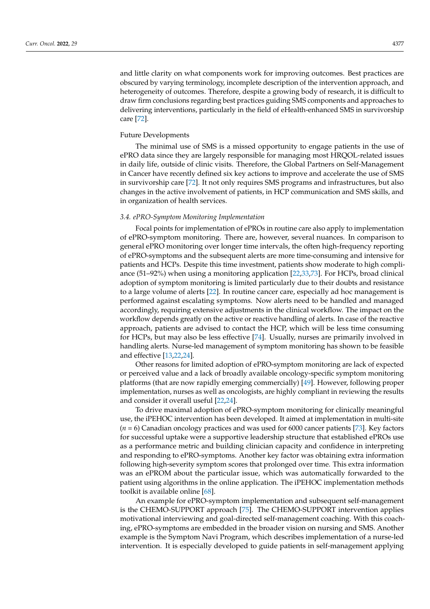and little clarity on what components work for improving outcomes. Best practices are obscured by varying terminology, incomplete description of the intervention approach, and heterogeneity of outcomes. Therefore, despite a growing body of research, it is difficult to draw firm conclusions regarding best practices guiding SMS components and approaches to delivering interventions, particularly in the field of eHealth-enhanced SMS in survivorship care [\[72\]](#page-14-8).

## Future Developments

The minimal use of SMS is a missed opportunity to engage patients in the use of ePRO data since they are largely responsible for managing most HRQOL-related issues in daily life, outside of clinic visits. Therefore, the Global Partners on Self-Management in Cancer have recently defined six key actions to improve and accelerate the use of SMS in survivorship care [\[72\]](#page-14-8). It not only requires SMS programs and infrastructures, but also changes in the active involvement of patients, in HCP communication and SMS skills, and in organization of health services.

# *3.4. ePRO-Symptom Monitoring Implementation*

Focal points for implementation of ePROs in routine care also apply to implementation of ePRO-symptom monitoring. There are, however, several nuances. In comparison to general ePRO monitoring over longer time intervals, the often high-frequency reporting of ePRO-symptoms and the subsequent alerts are more time-consuming and intensive for patients and HCPs. Despite this time investment, patients show moderate to high compliance (51–92%) when using a monitoring application [\[22](#page-12-2)[,33](#page-12-12)[,73\]](#page-14-9). For HCPs, broad clinical adoption of symptom monitoring is limited particularly due to their doubts and resistance to a large volume of alerts [\[22\]](#page-12-2). In routine cancer care, especially ad hoc management is performed against escalating symptoms. Now alerts need to be handled and managed accordingly, requiring extensive adjustments in the clinical workflow. The impact on the workflow depends greatly on the active or reactive handling of alerts. In case of the reactive approach, patients are advised to contact the HCP, which will be less time consuming for HCPs, but may also be less effective [\[74\]](#page-14-10). Usually, nurses are primarily involved in handling alerts. Nurse-led management of symptom monitoring has shown to be feasible and effective [\[13](#page-11-12)[,22](#page-12-2)[,24\]](#page-12-4).

Other reasons for limited adoption of ePRO-symptom monitoring are lack of expected or perceived value and a lack of broadly available oncology-specific symptom monitoring platforms (that are now rapidly emerging commercially) [\[49\]](#page-13-8). However, following proper implementation, nurses as well as oncologists, are highly compliant in reviewing the results and consider it overall useful [\[22](#page-12-2)[,24\]](#page-12-4).

To drive maximal adoption of ePRO-symptom monitoring for clinically meaningful use, the iPEHOC intervention has been developed. It aimed at implementation in multi-site (*n* = 6) Canadian oncology practices and was used for 6000 cancer patients [\[73\]](#page-14-9). Key factors for successful uptake were a supportive leadership structure that established ePROs use as a performance metric and building clinician capacity and confidence in interpreting and responding to ePRO-symptoms. Another key factor was obtaining extra information following high-severity symptom scores that prolonged over time. This extra information was an ePROM about the particular issue, which was automatically forwarded to the patient using algorithms in the online application. The iPEHOC implementation methods toolkit is available online [\[68\]](#page-14-4).

An example for ePRO-symptom implementation and subsequent self-management is the CHEMO-SUPPORT approach [\[75\]](#page-14-11). The CHEMO-SUPPORT intervention applies motivational interviewing and goal-directed self-management coaching. With this coaching, ePRO-symptoms are embedded in the broader vision on nursing and SMS. Another example is the Symptom Navi Program, which describes implementation of a nurse-led intervention. It is especially developed to guide patients in self-management applying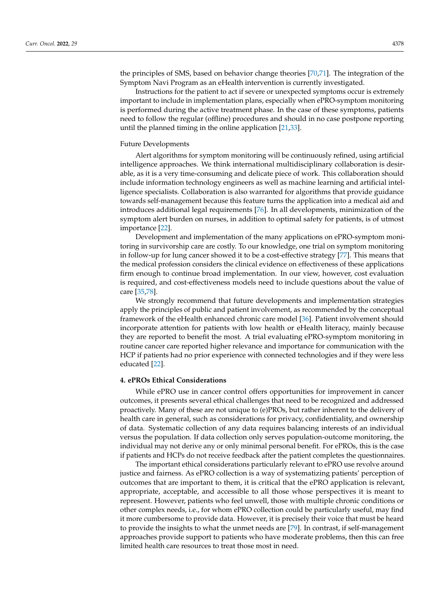the principles of SMS, based on behavior change theories [\[70,](#page-14-6)[71\]](#page-14-7). The integration of the Symptom Navi Program as an eHealth intervention is currently investigated.

Instructions for the patient to act if severe or unexpected symptoms occur is extremely important to include in implementation plans, especially when ePRO-symptom monitoring is performed during the active treatment phase. In the case of these symptoms, patients need to follow the regular (offline) procedures and should in no case postpone reporting until the planned timing in the online application [\[21](#page-12-1)[,33\]](#page-12-12).

# Future Developments

Alert algorithms for symptom monitoring will be continuously refined, using artificial intelligence approaches. We think international multidisciplinary collaboration is desirable, as it is a very time-consuming and delicate piece of work. This collaboration should include information technology engineers as well as machine learning and artificial intelligence specialists. Collaboration is also warranted for algorithms that provide guidance towards self-management because this feature turns the application into a medical aid and introduces additional legal requirements [\[76\]](#page-14-12). In all developments, minimization of the symptom alert burden on nurses, in addition to optimal safety for patients, is of utmost importance [\[22\]](#page-12-2).

Development and implementation of the many applications on ePRO-symptom monitoring in survivorship care are costly. To our knowledge, one trial on symptom monitoring in follow-up for lung cancer showed it to be a cost-effective strategy [\[77\]](#page-14-13). This means that the medical profession considers the clinical evidence on effectiveness of these applications firm enough to continue broad implementation. In our view, however, cost evaluation is required, and cost-effectiveness models need to include questions about the value of care [\[35,](#page-12-15)[78\]](#page-14-14).

We strongly recommend that future developments and implementation strategies apply the principles of public and patient involvement, as recommended by the conceptual framework of the eHealth enhanced chronic care model [\[36\]](#page-12-16). Patient involvement should incorporate attention for patients with low health or eHealth literacy, mainly because they are reported to benefit the most. A trial evaluating ePRO-symptom monitoring in routine cancer care reported higher relevance and importance for communication with the HCP if patients had no prior experience with connected technologies and if they were less educated [\[22\]](#page-12-2).

# **4. ePROs Ethical Considerations**

While ePRO use in cancer control offers opportunities for improvement in cancer outcomes, it presents several ethical challenges that need to be recognized and addressed proactively. Many of these are not unique to (e)PROs, but rather inherent to the delivery of health care in general, such as considerations for privacy, confidentiality, and ownership of data. Systematic collection of any data requires balancing interests of an individual versus the population. If data collection only serves population-outcome monitoring, the individual may not derive any or only minimal personal benefit. For ePROs, this is the case if patients and HCPs do not receive feedback after the patient completes the questionnaires.

The important ethical considerations particularly relevant to ePRO use revolve around justice and fairness. As ePRO collection is a way of systematizing patients' perception of outcomes that are important to them, it is critical that the ePRO application is relevant, appropriate, acceptable, and accessible to all those whose perspectives it is meant to represent. However, patients who feel unwell, those with multiple chronic conditions or other complex needs, i.e., for whom ePRO collection could be particularly useful, may find it more cumbersome to provide data. However, it is precisely their voice that must be heard to provide the insights to what the unmet needs are [\[79\]](#page-14-15). In contrast, if self-management approaches provide support to patients who have moderate problems, then this can free limited health care resources to treat those most in need.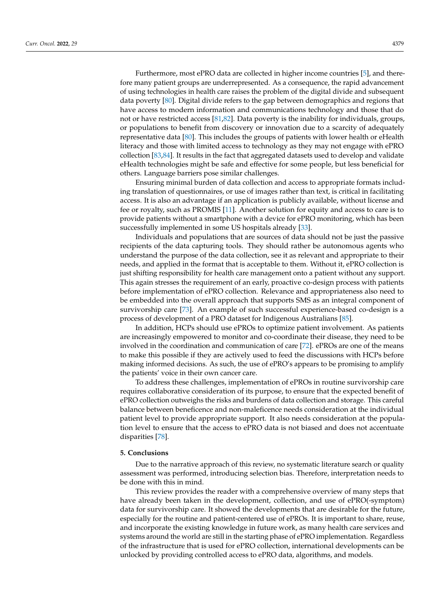Furthermore, most ePRO data are collected in higher income countries [\[5\]](#page-11-4), and therefore many patient groups are underrepresented. As a consequence, the rapid advancement of using technologies in health care raises the problem of the digital divide and subsequent data poverty [\[80\]](#page-14-16). Digital divide refers to the gap between demographics and regions that have access to modern information and communications technology and those that do not or have restricted access [\[81,](#page-14-17)[82\]](#page-14-18). Data poverty is the inability for individuals, groups, or populations to benefit from discovery or innovation due to a scarcity of adequately representative data [\[80\]](#page-14-16). This includes the groups of patients with lower health or eHealth literacy and those with limited access to technology as they may not engage with ePRO collection [\[83,](#page-14-19)[84\]](#page-15-0). It results in the fact that aggregated datasets used to develop and validate eHealth technologies might be safe and effective for some people, but less beneficial for others. Language barriers pose similar challenges.

Ensuring minimal burden of data collection and access to appropriate formats including translation of questionnaires, or use of images rather than text, is critical in facilitating access. It is also an advantage if an application is publicly available, without license and fee or royalty, such as PROMIS [\[11\]](#page-11-10). Another solution for equity and access to care is to provide patients without a smartphone with a device for ePRO monitoring, which has been successfully implemented in some US hospitals already [\[33\]](#page-12-12).

Individuals and populations that are sources of data should not be just the passive recipients of the data capturing tools. They should rather be autonomous agents who understand the purpose of the data collection, see it as relevant and appropriate to their needs, and applied in the format that is acceptable to them. Without it, ePRO collection is just shifting responsibility for health care management onto a patient without any support. This again stresses the requirement of an early, proactive co-design process with patients before implementation of ePRO collection. Relevance and appropriateness also need to be embedded into the overall approach that supports SMS as an integral component of survivorship care [\[73\]](#page-14-9). An example of such successful experience-based co-design is a process of development of a PRO dataset for Indigenous Australians [\[85\]](#page-15-1).

In addition, HCPs should use ePROs to optimize patient involvement. As patients are increasingly empowered to monitor and co-coordinate their disease, they need to be involved in the coordination and communication of care [\[72\]](#page-14-8). ePROs are one of the means to make this possible if they are actively used to feed the discussions with HCPs before making informed decisions. As such, the use of ePRO's appears to be promising to amplify the patients' voice in their own cancer care.

To address these challenges, implementation of ePROs in routine survivorship care requires collaborative consideration of its purpose, to ensure that the expected benefit of ePRO collection outweighs the risks and burdens of data collection and storage. This careful balance between beneficence and non-maleficence needs consideration at the individual patient level to provide appropriate support. It also needs consideration at the population level to ensure that the access to ePRO data is not biased and does not accentuate disparities [\[78\]](#page-14-14).

#### **5. Conclusions**

Due to the narrative approach of this review, no systematic literature search or quality assessment was performed, introducing selection bias. Therefore, interpretation needs to be done with this in mind.

This review provides the reader with a comprehensive overview of many steps that have already been taken in the development, collection, and use of ePRO(-symptom) data for survivorship care. It showed the developments that are desirable for the future, especially for the routine and patient-centered use of ePROs. It is important to share, reuse, and incorporate the existing knowledge in future work, as many health care services and systems around the world are still in the starting phase of ePRO implementation. Regardless of the infrastructure that is used for ePRO collection, international developments can be unlocked by providing controlled access to ePRO data, algorithms, and models.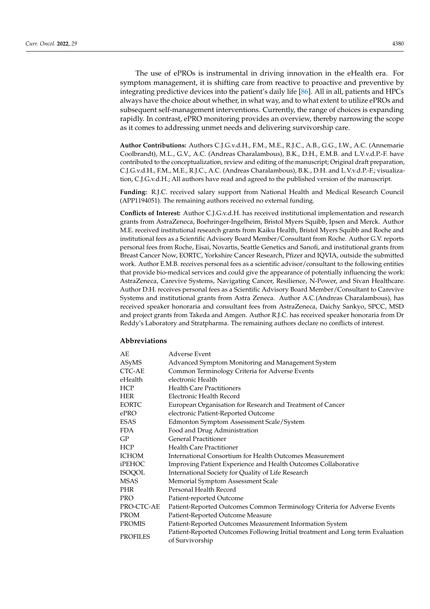The use of ePROs is instrumental in driving innovation in the eHealth era. For symptom management, it is shifting care from reactive to proactive and preventive by integrating predictive devices into the patient's daily life [\[86\]](#page-15-2). All in all, patients and HPCs always have the choice about whether, in what way, and to what extent to utilize ePROs and subsequent self-management interventions. Currently, the range of choices is expanding rapidly. In contrast, ePRO monitoring provides an overview, thereby narrowing the scope as it comes to addressing unmet needs and delivering survivorship care.

**Author Contributions:** Authors C.J.G.v.d.H., F.M., M.E., R.J.C., A.B., G.G., I.W., A.C. (Annemarie Coolbrandt), M.L., G.V., A.C. (Andreas Charalambous), B.K., D.H., E.M.B. and L.V.v.d.P.-F. have contributed to the conceptualization, review and editing of the manuscript; Original draft preparation, C.J.G.v.d.H., F.M., M.E., R.J.C., A.C. (Andreas Charalambous), B.K., D.H. and L.V.v.d.P.-F.; visualization, C.J.G.v.d.H.; All authors have read and agreed to the published version of the manuscript.

**Funding:** R.J.C. received salary support from National Health and Medical Research Council (APP1194051). The remaining authors received no external funding.

**Conflicts of Interest:** Author C.J.G.v.d.H. has received institutional implementation and research grants from AstraZeneca, Boehringer-Ingelheim, Bristol Myers Squibb, Ipsen and Merck. Author M.E. received institutional research grants from Kaiku Health, Bristol Myers Squibb and Roche and institutional fees as a Scientific Advisory Board Member/Consultant from Roche. Author G.V. reports personal fees from Roche, Eisai, Novartis, Seattle Genetics and Sanofi, and institutional grants from Breast Cancer Now, EORTC, Yorkshire Cancer Research, Pfizer and IQVIA, outside the submitted work. Author E.M.B. receives personal fees as a scientific advisor/consultant to the following entities that provide bio-medical services and could give the appearance of potentially influencing the work: AstraZeneca, Carevive Systems, Navigating Cancer, Resilience, N-Power, and Sivan Healthcare. Author D.H. receives personal fees as a Scientific Advisory Board Member/Consultant to Carevive Systems and institutional grants from Astra Zeneca. Author A.C.(Andreas Charalambous), has received speaker honoraria and consultant fees from AstraZeneca, Daichy Sankyo, SPCC, MSD and project grants from Takeda and Amgen. Author R.J.C. has received speaker honoraria from Dr Reddy's Laboratory and Stratpharma. The remaining authors declare no conflicts of interest.

#### **Abbreviations**

| AE            | Adverse Event                                                                                     |
|---------------|---------------------------------------------------------------------------------------------------|
| ASyMS         | Advanced Symptom Monitoring and Management System                                                 |
| CTC-AE        | Common Terminology Criteria for Adverse Events                                                    |
| eHealth       | electronic Health                                                                                 |
| HCP           | <b>Health Care Practitioners</b>                                                                  |
| HER           | Electronic Health Record                                                                          |
| <b>EORTC</b>  | European Organisation for Research and Treatment of Cancer                                        |
| ePRO          | electronic Patient-Reported Outcome                                                               |
| ESAS          | Edmonton Symptom Assessment Scale/System                                                          |
| FDA.          | Food and Drug Administration                                                                      |
| GP            | <b>General Practitioner</b>                                                                       |
| HCP           | <b>Health Care Practitioner</b>                                                                   |
| <b>ICHOM</b>  | International Consortium for Health Outcomes Measurement                                          |
| <b>iPEHOC</b> | Improving Patient Experience and Health Outcomes Collaborative                                    |
| <b>ISOQOL</b> | International Society for Quality of Life Research                                                |
| MSAS          | Memorial Symptom Assessment Scale                                                                 |
| PHR           | Personal Health Record                                                                            |
| <b>PRO</b>    | Patient-reported Outcome                                                                          |
| PRO-CTC-AE    | Patient-Reported Outcomes Common Terminology Criteria for Adverse Events                          |
| <b>PROM</b>   | Patient-Reported Outcome Measure                                                                  |
| <b>PROMIS</b> | Patient-Reported Outcomes Measurement Information System                                          |
| PROFILES      | Patient-Reported Outcomes Following Initial treatment and Long term Evaluation<br>of Survivorship |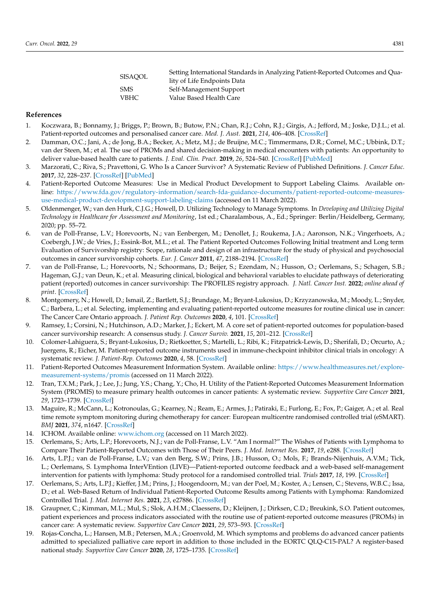| SISAOOL | Setting International Standards in Analyzing Patient-Reported Outcomes and Qua- |
|---------|---------------------------------------------------------------------------------|
|         | lity of Life Endpoints Data                                                     |
| SMS     | Self-Management Support                                                         |
| VBHC.   | Value Based Health Care                                                         |
|         |                                                                                 |

#### **References**

- <span id="page-11-0"></span>1. Koczwara, B.; Bonnamy, J.; Briggs, P.; Brown, B.; Butow, P.N.; Chan, R.J.; Cohn, R.J.; Girgis, A.; Jefford, M.; Joske, D.J.L.; et al. Patient-reported outcomes and personalised cancer care. *Med. J. Aust.* **2021**, *214*, 406–408. [\[CrossRef\]](http://doi.org/10.5694/mja2.50893)
- <span id="page-11-1"></span>2. Damman, O.C.; Jani, A.; de Jong, B.A.; Becker, A.; Metz, M.J.; de Bruijne, M.C.; Timmermans, D.R.; Cornel, M.C.; Ubbink, D.T.; van der Steen, M.; et al. The use of PROMs and shared decision-making in medical encounters with patients: An opportunity to deliver value-based health care to patients. *J. Eval. Clin. Pract.* **2019**, *26*, 524–540. [\[CrossRef\]](http://doi.org/10.1111/jep.13321) [\[PubMed\]](http://www.ncbi.nlm.nih.gov/pubmed/31840346)
- <span id="page-11-2"></span>3. Marzorati, C.; Riva, S.; Pravettoni, G. Who Is a Cancer Survivor? A Systematic Review of Published Definitions. *J. Cancer Educ.* **2017**, *32*, 228–237. [\[CrossRef\]](http://doi.org/10.1007/s13187-016-0997-2) [\[PubMed\]](http://www.ncbi.nlm.nih.gov/pubmed/26854084)
- <span id="page-11-3"></span>4. Patient-Reported Outcome Measures: Use in Medical Product Development to Support Labeling Claims. Available online: [https://www.fda.gov/regulatory-information/search-fda-guidance-documents/patient-reported-outcome-measures](https://www.fda.gov/regulatory-information/search-fda-guidance-documents/patient-reported-outcome-measures-use-medical-product-development-support-labeling-claims)[use-medical-product-development-support-labeling-claims](https://www.fda.gov/regulatory-information/search-fda-guidance-documents/patient-reported-outcome-measures-use-medical-product-development-support-labeling-claims) (accessed on 11 March 2022).
- <span id="page-11-4"></span>5. Oldenmenger, W.; van den Hurk, C.J.G.; Howell, D. Utilizing Technology to Manage Symptoms. In *Developing and Utilizing Digital Technology in Healthcare for Assessment and Monitoring*, 1st ed.; Charalambous, A., Ed.; Springer: Berlin/Heidelberg, Germany, 2020; pp. 55–72.
- <span id="page-11-5"></span>6. van de Poll-Franse, L.V.; Horevoorts, N.; van Eenbergen, M.; Denollet, J.; Roukema, J.A.; Aaronson, N.K.; Vingerhoets, A.; Coebergh, J.W.; de Vries, J.; Essink-Bot, M.L.; et al. The Patient Reported Outcomes Following Initial treatment and Long term Evaluation of Survivorship registry: Scope, rationale and design of an infrastructure for the study of physical and psychosocial outcomes in cancer survivorship cohorts. *Eur. J. Cancer* **2011**, *47*, 2188–2194. [\[CrossRef\]](http://doi.org/10.1016/j.ejca.2011.04.034)
- <span id="page-11-6"></span>7. van de Poll-Franse, L.; Horevoorts, N.; Schoormans, D.; Beijer, S.; Ezendam, N.; Husson, O.; Oerlemans, S.; Schagen, S.B.; Hageman, G.J.; van Deun, K.; et al. Measuring clinical, biological and behavioral variables to elucidate pathways of deteriorating patient (reported) outcomes in cancer survivorship: The PROFILES registry approach. *J. Natl. Cancer Inst.* **2022**; *online ahead of print*. [\[CrossRef\]](http://doi.org/10.1093/jnci/djac047)
- <span id="page-11-7"></span>8. Montgomery, N.; Howell, D.; Ismail, Z.; Bartlett, S.J.; Brundage, M.; Bryant-Lukosius, D.; Krzyzanowska, M.; Moody, L.; Snyder, C.; Barbera, L.; et al. Selecting, implementing and evaluating patient-reported outcome measures for routine clinical use in cancer: The Cancer Care Ontario approach. *J. Patient Rep. Outcomes* **2020**, *4*, 101. [\[CrossRef\]](http://doi.org/10.1186/s41687-020-00270-1)
- <span id="page-11-8"></span>9. Ramsey, I.; Corsini, N.; Hutchinson, A.D.; Marker, J.; Eckert, M. A core set of patient-reported outcomes for population-based cancer survivorship research: A consensus study. *J. Cancer Surviv.* **2021**, *15*, 201–212. [\[CrossRef\]](http://doi.org/10.1007/s11764-020-00924-5)
- <span id="page-11-9"></span>10. Colomer-Lahiguera, S.; Bryant-Lukosius, D.; Rietkoetter, S.; Martelli, L.; Ribi, K.; Fitzpatrick-Lewis, D.; Sherifali, D.; Orcurto, A.; Juergens, R.; Eicher, M. Patient-reported outcome instruments used in immune-checkpoint inhibitor clinical trials in oncology: A systematic review. *J. Patient-Rep. Outcomes* **2020**, *4*, 58. [\[CrossRef\]](http://doi.org/10.1186/s41687-020-00210-z)
- <span id="page-11-10"></span>11. Patient-Reported Outcomes Measurement Information System. Available online: [https://www.healthmeasures.net/explore](https://www.healthmeasures.net/explore-measurement-systems/promis)[measurement-systems/promis](https://www.healthmeasures.net/explore-measurement-systems/promis) (accessed on 11 March 2022).
- <span id="page-11-11"></span>12. Tran, T.X.M.; Park, J.; Lee, J.; Jung, Y.S.; Chang, Y.; Cho, H. Utility of the Patient-Reported Outcomes Measurement Information System (PROMIS) to measure primary health outcomes in cancer patients: A systematic review. *Supportive Care Cancer* **2021**, *29*, 1723–1739. [\[CrossRef\]](http://doi.org/10.1007/s00520-020-05801-6)
- <span id="page-11-12"></span>13. Maguire, R.; McCann, L.; Kotronoulas, G.; Kearney, N.; Ream, E.; Armes, J.; Patiraki, E.; Furlong, E.; Fox, P.; Gaiger, A.; et al. Real time remote symptom monitoring during chemotherapy for cancer: European multicentre randomised controlled trial (eSMART). *BMJ* **2021**, *374*, n1647. [\[CrossRef\]](http://doi.org/10.1136/bmj.n1647)
- <span id="page-11-13"></span>14. ICHOM. Available online: <www.ichom.org> (accessed on 11 March 2022).
- <span id="page-11-14"></span>15. Oerlemans, S.; Arts, L.P.; Horevoorts, N.J.; van de Poll-Franse, L.V. "Am I normal?" The Wishes of Patients with Lymphoma to Compare Their Patient-Reported Outcomes with Those of Their Peers. *J. Med. Internet Res.* **2017**, *19*, e288. [\[CrossRef\]](http://doi.org/10.2196/jmir.7079)
- 16. Arts, L.P.J.; van de Poll-Franse, L.V.; van den Berg, S.W.; Prins, J.B.; Husson, O.; Mols, F.; Brands-Nijenhuis, A.V.M.; Tick, L.; Oerlemans, S. Lymphoma InterVEntion (LIVE)—Patient-reported outcome feedback and a web-based self-management intervention for patients with lymphoma: Study protocol for a randomised controlled trial. *Trials* **2017**, *18*, 199. [\[CrossRef\]](http://doi.org/10.1186/s13063-017-1943-2)
- <span id="page-11-15"></span>17. Oerlemans, S.; Arts, L.P.J.; Kieffer, J.M.; Prins, J.; Hoogendoorn, M.; van der Poel, M.; Koster, A.; Lensen, C.; Stevens, W.B.C.; Issa, D.; et al. Web-Based Return of Individual Patient-Reported Outcome Results among Patients with Lymphoma: Randomized Controlled Trial. *J. Med. Internet Res.* **2021**, *23*, e27886. [\[CrossRef\]](http://doi.org/10.2196/27886)
- <span id="page-11-16"></span>18. Graupner, C.; Kimman, M.L.; Mul, S.; Slok, A.H.M.; Claessens, D.; Kleijnen, J.; Dirksen, C.D.; Breukink, S.O. Patient outcomes, patient experiences and process indicators associated with the routine use of patient-reported outcome measures (PROMs) in cancer care: A systematic review. *Supportive Care Cancer* **2021**, *29*, 573–593. [\[CrossRef\]](http://doi.org/10.1007/s00520-020-05695-4)
- <span id="page-11-17"></span>Rojas-Concha, L.; Hansen, M.B.; Petersen, M.A.; Groenvold, M. Which symptoms and problems do advanced cancer patients admitted to specialized palliative care report in addition to those included in the EORTC QLQ-C15-PAL? A register-based national study. *Supportive Care Cancer* **2020**, *28*, 1725–1735. [\[CrossRef\]](http://doi.org/10.1007/s00520-019-04976-x)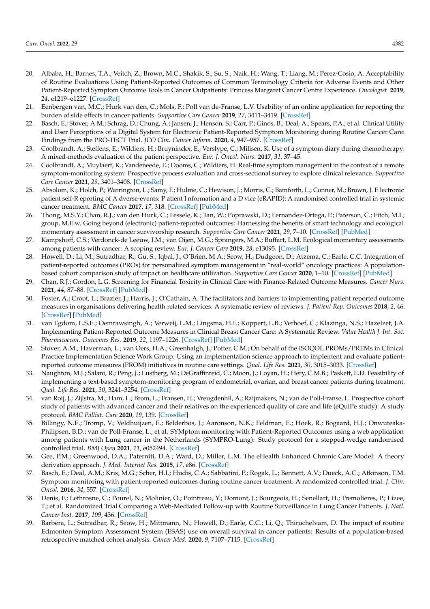- <span id="page-12-0"></span>20. Albaba, H.; Barnes, T.A.; Veitch, Z.; Brown, M.C.; Shakik, S.; Su, S.; Naik, H.; Wang, T.; Liang, M.; Perez-Cosio, A. Acceptability of Routine Evaluations Using Patient-Reported Outcomes of Common Terminology Criteria for Adverse Events and Other Patient-Reported Symptom Outcome Tools in Cancer Outpatients: Princess Margaret Cancer Centre Experience. *Oncologist* **2019**, *24*, e1219–e1227. [\[CrossRef\]](http://doi.org/10.1634/theoncologist.2018-0830)
- <span id="page-12-1"></span>21. Eenbergen van, M.C.; Hurk van den, C.; Mols, F.; Poll van de-Franse, L.V. Usability of an online application for reporting the burden of side effects in cancer patients. *Supportive Care Cancer* **2019**, *27*, 3411–3419. [\[CrossRef\]](http://doi.org/10.1007/s00520-019-4639-1)
- <span id="page-12-2"></span>22. Basch, E.; Stover, A.M.; Schrag, D.; Chung, A.; Jansen, J.; Henson, S.; Carr, P.; Ginos, B.; Deal, A.; Spears, P.A.; et al. Clinical Utility and User Perceptions of a Digital System for Electronic Patient-Reported Symptom Monitoring during Routine Cancer Care: Findings from the PRO-TECT Trial. *JCO Clin. Cancer Inform.* **2020**, *4*, 947–957. [\[CrossRef\]](http://doi.org/10.1200/CCI.20.00081)
- <span id="page-12-3"></span>23. Coolbrandt, A.; Steffens, E.; Wildiers, H.; Bruyninckx, E.; Verslype, C.; Milisen, K. Use of a symptom diary during chemotherapy: A mixed-methods evaluation of the patient perspective. *Eur. J. Oncol. Nurs.* **2017**, *31*, 37–45.
- <span id="page-12-4"></span>24. Coolbrandt, A.; Muylaert, K.; Vandeneede, E.; Dooms, C.; Wildiers, H. Real-time symptom management in the context of a remote symptom-monitoring system: Prospective process evaluation and cross-sectional survey to explore clinical relevance. *Supportive Care Cancer* **2021**, *29*, 3401–3408. [\[CrossRef\]](http://doi.org/10.1007/s00520-021-06029-8)
- <span id="page-12-5"></span>25. Absolom, K.; Holch, P.; Warrington, L.; Samy, F.; Hulme, C.; Hewison, J.; Morris, C.; Bamforth, L.; Conner, M.; Brown, J. E lectronic patient self-R eporting of A dverse-events: P atient I nformation and a D vice (eRAPID): A randomised controlled trial in systemic cancer treatment. *BMC Cancer* **2017**, *17*, 318. [\[CrossRef\]](http://doi.org/10.1186/s12885-017-3303-8) [\[PubMed\]](http://www.ncbi.nlm.nih.gov/pubmed/28482877)
- <span id="page-12-6"></span>26. Thong, M.S.Y.; Chan, R.J.; van den Hurk, C.; Fessele, K.; Tan, W.; Poprawski, D.; Fernandez-Ortega, P.; Paterson, C.; Fitch, M.I.; group, M.E.w. Going beyond (electronic) patient-reported outcomes: Harnessing the benefits of smart technology and ecological momentary assessment in cancer survivorship research. *Supportive Care Cancer* **2021**, *29*, 7–10. [\[CrossRef\]](http://doi.org/10.1007/s00520-020-05648-x) [\[PubMed\]](http://www.ncbi.nlm.nih.gov/pubmed/32844316)
- <span id="page-12-7"></span>27. Kampshoff, C.S.; Verdonck-de Leeuw, I.M.; van Oijen, M.G.; Sprangers, M.A.; Buffart, L.M. Ecological momentary assessments among patients with cancer: A scoping review. *Eur. J. Cancer Care* **2019**, *28*, e13095. [\[CrossRef\]](http://doi.org/10.1111/ecc.13095)
- <span id="page-12-8"></span>28. Howell, D.; Li, M.; Sutradhar, R.; Gu, S.; Iqbal, J.; O'Brien, M.A.; Seow, H.; Dudgeon, D.; Atzema, C.; Earle, C.C. Integration of patient-reported outcomes (PROs) for personalized symptom management in "real-world" oncology practices: A populationbased cohort comparison study of impact on healthcare utilization. *Supportive Care Cancer* **2020**, 1–10. [\[CrossRef\]](http://doi.org/10.1007/s00520-020-05313-3) [\[PubMed\]](http://www.ncbi.nlm.nih.gov/pubmed/32020357)
- <span id="page-12-9"></span>29. Chan, R.J.; Gordon, L.G. Screening for Financial Toxicity in Clinical Care with Finance-Related Outcome Measures. *Cancer Nurs.* **2021**, *44*, 87–88. [\[CrossRef\]](http://doi.org/10.1097/NCC.0000000000000926) [\[PubMed\]](http://www.ncbi.nlm.nih.gov/pubmed/33587491)
- <span id="page-12-10"></span>30. Foster, A.; Croot, L.; Brazier, J.; Harris, J.; O'Cathain, A. The facilitators and barriers to implementing patient reported outcome measures in organisations delivering health related services: A systematic review of reviews. *J. Patient Rep. Outcomes* **2018**, *2*, 46. [\[CrossRef\]](http://doi.org/10.1186/s41687-018-0072-3) [\[PubMed\]](http://www.ncbi.nlm.nih.gov/pubmed/30363333)
- <span id="page-12-13"></span>31. van Egdom, L.S.E.; Oemrawsingh, A.; Verweij, L.M.; Lingsma, H.F.; Koppert, L.B.; Verhoef, C.; Klazinga, N.S.; Hazelzet, J.A. Implementing Patient-Reported Outcome Measures in Clinical Breast Cancer Care: A Systematic Review. *Value Health J. Int. Soc. Pharmacoecon. Outcomes Res.* **2019**, *22*, 1197–1226. [\[CrossRef\]](http://doi.org/10.1016/j.jval.2019.04.1927) [\[PubMed\]](http://www.ncbi.nlm.nih.gov/pubmed/31563263)
- <span id="page-12-11"></span>32. Stover, A.M.; Haverman, L.; van Oers, H.A.; Greenhalgh, J.; Potter, C.M.; On behalf of the ISOQOL PROMs/PREMs in Clinical Practice Implementation Science Work Group. Using an implementation science approach to implement and evaluate patientreported outcome measures (PROM) initiatives in routine care settings. *Qual. Life Res.* **2021**, *30*, 3015–3033. [\[CrossRef\]](http://doi.org/10.1007/s11136-020-02564-9)
- <span id="page-12-12"></span>33. Naughton, M.J.; Salani, R.; Peng, J.; Lustberg, M.; DeGraffinreid, C.; Moon, J.; Loyan, H.; Hery, C.M.B.; Paskett, E.D. Feasibility of implementing a text-based symptom-monitoring program of endometrial, ovarian, and breast cancer patients during treatment. *Qual. Life Res.* **2021**, *30*, 3241–3254. [\[CrossRef\]](http://doi.org/10.1007/s11136-020-02660-w)
- <span id="page-12-14"></span>34. van Roij, J.; Zijlstra, M.; Ham, L.; Brom, L.; Fransen, H.; Vreugdenhil, A.; Raijmakers, N.; van de Poll-Franse, L. Prospective cohort study of patients with advanced cancer and their relatives on the experienced quality of care and life (eQuiPe study): A study protocol. *BMC Palliat. Care* **2020**, *19*, 139. [\[CrossRef\]](http://doi.org/10.1186/s12904-020-00642-w)
- <span id="page-12-15"></span>35. Billingy, N.E.; Tromp, V.; Veldhuijzen, E.; Belderbos, J.; Aaronson, N.K.; Feldman, E.; Hoek, R.; Bogaard, H.J.; Onwuteaka-Philipsen, B.D.; van de Poll-Franse, L.; et al. SYMptom monitoring with Patient-Reported Outcomes using a web application among patients with Lung cancer in the Netherlands (SYMPRO-Lung): Study protocol for a stepped-wedge randomised controlled trial. *BMJ Open* **2021**, *11*, e052494. [\[CrossRef\]](http://doi.org/10.1136/bmjopen-2021-052494)
- <span id="page-12-16"></span>36. Gee, P.M.; Greenwood, D.A.; Paterniti, D.A.; Ward, D.; Miller, L.M. The eHealth Enhanced Chronic Care Model: A theory derivation approach. *J. Med. Internet Res.* **2015**, *17*, e86. [\[CrossRef\]](http://doi.org/10.2196/jmir.4067)
- <span id="page-12-17"></span>37. Basch, E.; Deal, A.M.; Kris, M.G.; Scher, H.I.; Hudis, C.A.; Sabbatini, P.; Rogak, L.; Bennett, A.V.; Dueck, A.C.; Atkinson, T.M. Symptom monitoring with patient-reported outcomes during routine cancer treatment: A randomized controlled trial. *J. Clin. Oncol.* **2016**, *34*, 557. [\[CrossRef\]](http://doi.org/10.1200/JCO.2015.63.0830)
- 38. Denis, F.; Lethrosne, C.; Pourel, N.; Molinier, O.; Pointreau, Y.; Domont, J.; Bourgeois, H.; Senellart, H.; Tremolieres, P.; Lizee, T.; et al. Randomized Trial Comparing a Web-Mediated Follow-up with Routine Surveillance in Lung Cancer Patients. *J. Natl. Cancer Inst.* **2017**, *109*, 436. [\[CrossRef\]](http://doi.org/10.1093/jnci/djx029)
- <span id="page-12-18"></span>39. Barbera, L.; Sutradhar, R.; Seow, H.; Mittmann, N.; Howell, D.; Earle, C.C.; Li, Q.; Thiruchelvam, D. The impact of routine Edmonton Symptom Assessment System (ESAS) use on overall survival in cancer patients: Results of a population-based retrospective matched cohort analysis. *Cancer Med.* **2020**, *9*, 7107–7115. [\[CrossRef\]](http://doi.org/10.1002/cam4.3374)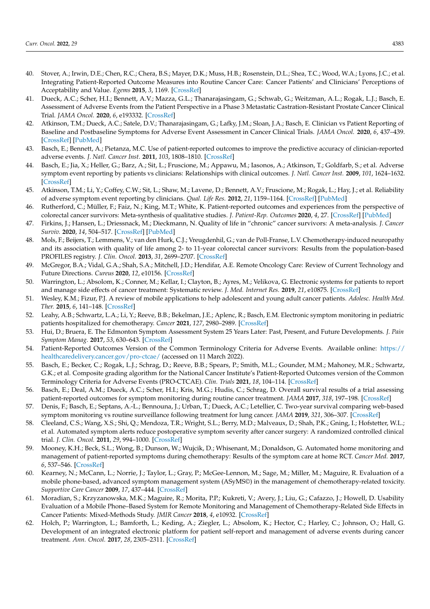- <span id="page-13-0"></span>40. Stover, A.; Irwin, D.E.; Chen, R.C.; Chera, B.S.; Mayer, D.K.; Muss, H.B.; Rosenstein, D.L.; Shea, T.C.; Wood, W.A.; Lyons, J.C.; et al. Integrating Patient-Reported Outcome Measures into Routine Cancer Care: Cancer Patients' and Clinicians' Perceptions of Acceptability and Value. *Egems* **2015**, *3*, 1169. [\[CrossRef\]](http://doi.org/10.13063/2327-9214.1169)
- <span id="page-13-1"></span>41. Dueck, A.C.; Scher, H.I.; Bennett, A.V.; Mazza, G.L.; Thanarajasingam, G.; Schwab, G.; Weitzman, A.L.; Rogak, L.J.; Basch, E. Assessment of Adverse Events from the Patient Perspective in a Phase 3 Metastatic Castration-Resistant Prostate Cancer Clinical Trial. *JAMA Oncol.* **2020**, *6*, e193332. [\[CrossRef\]](http://doi.org/10.1001/jamaoncol.2019.3332)
- <span id="page-13-2"></span>42. Atkinson, T.M.; Dueck, A.C.; Satele, D.V.; Thanarajasingam, G.; Lafky, J.M.; Sloan, J.A.; Basch, E. Clinician vs Patient Reporting of Baseline and Postbaseline Symptoms for Adverse Event Assessment in Cancer Clinical Trials. *JAMA Oncol.* **2020**, *6*, 437–439. [\[CrossRef\]](http://doi.org/10.1001/jamaoncol.2019.5566) [\[PubMed\]](http://www.ncbi.nlm.nih.gov/pubmed/31876902)
- <span id="page-13-3"></span>43. Basch, E.; Bennett, A.; Pietanza, M.C. Use of patient-reported outcomes to improve the predictive accuracy of clinician-reported adverse events. *J. Natl. Cancer Inst.* **2011**, *103*, 1808–1810. [\[CrossRef\]](http://doi.org/10.1093/jnci/djr493)
- <span id="page-13-4"></span>44. Basch, E.; Jia, X.; Heller, G.; Barz, A.; Sit, L.; Fruscione, M.; Appawu, M.; Iasonos, A.; Atkinson, T.; Goldfarb, S.; et al. Adverse symptom event reporting by patients vs clinicians: Relationships with clinical outcomes. *J. Natl. Cancer Inst.* **2009**, *101*, 1624–1632. [\[CrossRef\]](http://doi.org/10.1093/jnci/djp386)
- <span id="page-13-5"></span>45. Atkinson, T.M.; Li, Y.; Coffey, C.W.; Sit, L.; Shaw, M.; Lavene, D.; Bennett, A.V.; Fruscione, M.; Rogak, L.; Hay, J.; et al. Reliability of adverse symptom event reporting by clinicians. *Qual. Life Res.* **2012**, *21*, 1159–1164. [\[CrossRef\]](http://doi.org/10.1007/s11136-011-0031-4) [\[PubMed\]](http://www.ncbi.nlm.nih.gov/pubmed/21984468)
- <span id="page-13-6"></span>46. Rutherford, C.; Müller, F.; Faiz, N.; King, M.T.; White, K. Patient-reported outcomes and experiences from the perspective of colorectal cancer survivors: Meta-synthesis of qualitative studies. *J. Patient-Rep. Outcomes* **2020**, *4*, 27. [\[CrossRef\]](http://doi.org/10.1186/s41687-020-00195-9) [\[PubMed\]](http://www.ncbi.nlm.nih.gov/pubmed/32335745)
- 47. Firkins, J.; Hansen, L.; Driessnack, M.; Dieckmann, N. Quality of life in "chronic" cancer survivors: A meta-analysis. *J. Cancer Surviv.* **2020**, *14*, 504–517. [\[CrossRef\]](http://doi.org/10.1007/s11764-020-00869-9) [\[PubMed\]](http://www.ncbi.nlm.nih.gov/pubmed/32162194)
- <span id="page-13-7"></span>48. Mols, F.; Beijers, T.; Lemmens, V.; van den Hurk, C.J.; Vreugdenhil, G.; van de Poll-Franse, L.V. Chemotherapy-induced neuropathy and its association with quality of life among 2- to 11-year colorectal cancer survivors: Results from the population-based PROFILES registry. *J. Clin. Oncol.* **2013**, *31*, 2699–2707. [\[CrossRef\]](http://doi.org/10.1200/JCO.2013.49.1514)
- <span id="page-13-8"></span>49. McGregor, B.A.; Vidal, G.A.; Shah, S.A.; Mitchell, J.D.; Hendifar, A.E. Remote Oncology Care: Review of Current Technology and Future Directions. *Cureus* **2020**, *12*, e10156. [\[CrossRef\]](http://doi.org/10.7759/cureus.10156)
- <span id="page-13-9"></span>50. Warrington, L.; Absolom, K.; Conner, M.; Kellar, I.; Clayton, B.; Ayres, M.; Velikova, G. Electronic systems for patients to report and manage side effects of cancer treatment: Systematic review. *J. Med. Internet Res.* **2019**, *21*, e10875. [\[CrossRef\]](http://doi.org/10.2196/10875)
- <span id="page-13-10"></span>51. Wesley, K.M.; Fizur, P.J. A review of mobile applications to help adolescent and young adult cancer patients. *Adolesc. Health Med. Ther.* **2015**, *6*, 141–148. [\[CrossRef\]](http://doi.org/10.2147/AHMT.S69209)
- <span id="page-13-11"></span>52. Leahy, A.B.; Schwartz, L.A.; Li, Y.; Reeve, B.B.; Bekelman, J.E.; Aplenc, R.; Basch, E.M. Electronic symptom monitoring in pediatric patients hospitalized for chemotherapy. *Cancer* **2021**, *127*, 2980–2989. [\[CrossRef\]](http://doi.org/10.1002/cncr.33617)
- <span id="page-13-12"></span>53. Hui, D.; Bruera, E. The Edmonton Symptom Assessment System 25 Years Later: Past, Present, and Future Developments. *J. Pain Symptom Manag.* **2017**, *53*, 630–643. [\[CrossRef\]](http://doi.org/10.1016/j.jpainsymman.2016.10.370)
- <span id="page-13-13"></span>54. Patient-Reported Outcomes Version of the Common Terminology Criteria for Adverse Events. Available online: [https://](https://healthcaredelivery.cancer.gov/pro-ctcae/) [healthcaredelivery.cancer.gov/pro-ctcae/](https://healthcaredelivery.cancer.gov/pro-ctcae/) (accessed on 11 March 2022).
- <span id="page-13-14"></span>55. Basch, E.; Becker, C.; Rogak, L.J.; Schrag, D.; Reeve, B.B.; Spears, P.; Smith, M.L.; Gounder, M.M.; Mahoney, M.R.; Schwartz, G.K.; et al. Composite grading algorithm for the National Cancer Institute's Patient-Reported Outcomes version of the Common Terminology Criteria for Adverse Events (PRO-CTCAE). *Clin. Trials* **2021**, *18*, 104–114. [\[CrossRef\]](http://doi.org/10.1177/1740774520975120)
- <span id="page-13-15"></span>56. Basch, E.; Deal, A.M.; Dueck, A.C.; Scher, H.I.; Kris, M.G.; Hudis, C.; Schrag, D. Overall survival results of a trial assessing patient-reported outcomes for symptom monitoring during routine cancer treatment. *JAMA* **2017**, *318*, 197–198. [\[CrossRef\]](http://doi.org/10.1001/jama.2017.7156)
- <span id="page-13-16"></span>57. Denis, F.; Basch, E.; Septans, A.-L.; Bennouna, J.; Urban, T.; Dueck, A.C.; Letellier, C. Two-year survival comparing web-based symptom monitoring vs routine surveillance following treatment for lung cancer. *JAMA* **2019**, *321*, 306–307. [\[CrossRef\]](http://doi.org/10.1001/jama.2018.18085)
- <span id="page-13-17"></span>58. Cleeland, C.S.; Wang, X.S.; Shi, Q.; Mendoza, T.R.; Wright, S.L.; Berry, M.D.; Malveaux, D.; Shah, P.K.; Gning, I.; Hofstetter, W.L.; et al. Automated symptom alerts reduce postoperative symptom severity after cancer surgery: A randomized controlled clinical trial. *J. Clin. Oncol.* **2011**, *29*, 994–1000. [\[CrossRef\]](http://doi.org/10.1200/JCO.2010.29.8315)
- <span id="page-13-18"></span>59. Mooney, K.H.; Beck, S.L.; Wong, B.; Dunson, W.; Wujcik, D.; Whisenant, M.; Donaldson, G. Automated home monitoring and management of patient-reported symptoms during chemotherapy: Results of the symptom care at home RCT. *Cancer Med.* **2017**, *6*, 537–546. [\[CrossRef\]](http://doi.org/10.1002/cam4.1002)
- <span id="page-13-19"></span>60. Kearney, N.; McCann, L.; Norrie, J.; Taylor, L.; Gray, P.; McGee-Lennon, M.; Sage, M.; Miller, M.; Maguire, R. Evaluation of a mobile phone-based, advanced symptom management system (ASyMS©) in the management of chemotherapy-related toxicity. *Supportive Care Cancer* **2009**, *17*, 437–444. [\[CrossRef\]](http://doi.org/10.1007/s00520-008-0515-0)
- <span id="page-13-20"></span>61. Moradian, S.; Krzyzanowska, M.K.; Maguire, R.; Morita, P.P.; Kukreti, V.; Avery, J.; Liu, G.; Cafazzo, J.; Howell, D. Usability Evaluation of a Mobile Phone–Based System for Remote Monitoring and Management of Chemotherapy-Related Side Effects in Cancer Patients: Mixed-Methods Study. *JMIR Cancer* **2018**, *4*, e10932. [\[CrossRef\]](http://doi.org/10.2196/10932)
- <span id="page-13-21"></span>62. Holch, P.; Warrington, L.; Bamforth, L.; Keding, A.; Ziegler, L.; Absolom, K.; Hector, C.; Harley, C.; Johnson, O.; Hall, G. Development of an integrated electronic platform for patient self-report and management of adverse events during cancer treatment. *Ann. Oncol.* **2017**, *28*, 2305–2311. [\[CrossRef\]](http://doi.org/10.1093/annonc/mdx317)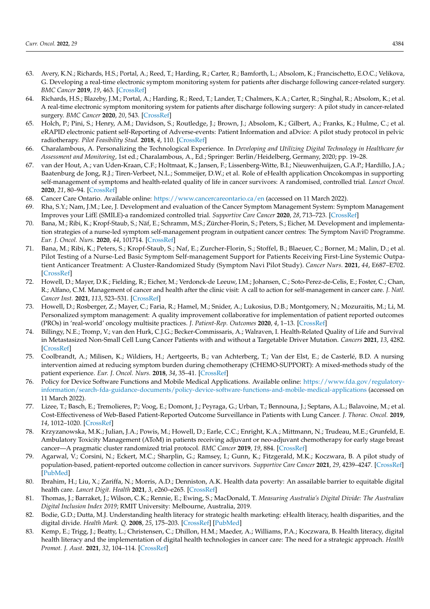- <span id="page-14-0"></span>63. Avery, K.N.; Richards, H.S.; Portal, A.; Reed, T.; Harding, R.; Carter, R.; Bamforth, L.; Absolom, K.; Francischetto, E.O.C.; Velikova, G. Developing a real-time electronic symptom monitoring system for patients after discharge following cancer-related surgery. *BMC Cancer* **2019**, *19*, 463. [\[CrossRef\]](http://doi.org/10.1186/s12885-019-5657-6)
- <span id="page-14-1"></span>64. Richards, H.S.; Blazeby, J.M.; Portal, A.; Harding, R.; Reed, T.; Lander, T.; Chalmers, K.A.; Carter, R.; Singhal, R.; Absolom, K.; et al. A real-time electronic symptom monitoring system for patients after discharge following surgery: A pilot study in cancer-related surgery. *BMC Cancer* **2020**, *20*, 543. [\[CrossRef\]](http://doi.org/10.1186/s12885-020-07027-5)
- 65. Holch, P.; Pini, S.; Henry, A.M.; Davidson, S.; Routledge, J.; Brown, J.; Absolom, K.; Gilbert, A.; Franks, K.; Hulme, C.; et al. eRAPID electronic patient self-Reporting of Adverse-events: Patient Information and aDvice: A pilot study protocol in pelvic radiotherapy. *Pilot Feasibility Stud.* **2018**, *4*, 110. [\[CrossRef\]](http://doi.org/10.1186/s40814-018-0304-6)
- <span id="page-14-2"></span>66. Charalambous, A. Personalizing the Technological Experience. In *Developing and Utilizing Digital Technology in Healthcare for Assessment and Monitoring*, 1st ed.; Charalambous, A., Ed.; Springer: Berlin/Heidelberg, Germany, 2020; pp. 19–28.
- <span id="page-14-3"></span>67. van der Hout, A.; van Uden-Kraan, C.F.; Holtmaat, K.; Jansen, F.; Lissenberg-Witte, B.I.; Nieuwenhuijzen, G.A.P.; Hardillo, J.A.; Baatenburg de Jong, R.J.; Tiren-Verbeet, N.L.; Sommeijer, D.W.; et al. Role of eHealth application Oncokompas in supporting self-management of symptoms and health-related quality of life in cancer survivors: A randomised, controlled trial. *Lancet Oncol.* **2020**, *21*, 80–94. [\[CrossRef\]](http://doi.org/10.1016/S1470-2045(19)30675-8)
- <span id="page-14-4"></span>68. Cancer Care Ontario. Available online: <https://www.cancercareontario.ca/en> (accessed on 11 March 2022).
- <span id="page-14-5"></span>69. Rha, S.Y.; Nam, J.M.; Lee, J. Development and evaluation of the Cancer Symptom Management System: Symptom Management Improves your LifE (SMILE)-a randomized controlled trial. *Supportive Care Cancer* **2020**, *28*, 713–723. [\[CrossRef\]](http://doi.org/10.1007/s00520-019-04865-3)
- <span id="page-14-6"></span>70. Bana, M.; Ribi, K.; Kropf-Staub, S.; Näf, E.; Schramm, M.S.; Zürcher-Florin, S.; Peters, S.; Eicher, M. Development and implementation strategies of a nurse-led symptom self-management program in outpatient cancer centres: The Symptom Navi© Programme. *Eur. J. Oncol. Nurs.* **2020**, *44*, 101714. [\[CrossRef\]](http://doi.org/10.1016/j.ejon.2019.101714)
- <span id="page-14-7"></span>71. Bana, M.; Ribi, K.; Peters, S.; Kropf-Staub, S.; Naf, E.; Zurcher-Florin, S.; Stoffel, B.; Blaeuer, C.; Borner, M.; Malin, D.; et al. Pilot Testing of a Nurse-Led Basic Symptom Self-management Support for Patients Receiving First-Line Systemic Outpatient Anticancer Treatment: A Cluster-Randomized Study (Symptom Navi Pilot Study). *Cancer Nurs.* **2021**, *44*, E687–E702. [\[CrossRef\]](http://doi.org/10.1097/NCC.0000000000000995)
- <span id="page-14-8"></span>72. Howell, D.; Mayer, D.K.; Fielding, R.; Eicher, M.; Verdonck-de Leeuw, I.M.; Johansen, C.; Soto-Perez-de-Celis, E.; Foster, C.; Chan, R.; Alfano, C.M. Management of cancer and health after the clinic visit: A call to action for self-management in cancer care. *J. Natl. Cancer Inst.* **2021**, *113*, 523–531. [\[CrossRef\]](http://doi.org/10.1093/jnci/djaa083)
- <span id="page-14-9"></span>73. Howell, D.; Rosberger, Z.; Mayer, C.; Faria, R.; Hamel, M.; Snider, A.; Lukosius, D.B.; Montgomery, N.; Mozuraitis, M.; Li, M. Personalized symptom management: A quality improvement collaborative for implementation of patient reported outcomes (PROs) in 'real-world' oncology multisite practices. *J. Patient-Rep. Outcomes* **2020**, *4*, 1–13. [\[CrossRef\]](http://doi.org/10.1186/s41687-020-00212-x)
- <span id="page-14-10"></span>74. Billingy, N.E.; Tromp, V.; van den Hurk, C.J.G.; Becker-Commissaris, A.; Walraven, I. Health-Related Quality of Life and Survival in Metastasized Non-Small Cell Lung Cancer Patients with and without a Targetable Driver Mutation. *Cancers* **2021**, *13*, 4282. [\[CrossRef\]](http://doi.org/10.3390/cancers13174282)
- <span id="page-14-11"></span>75. Coolbrandt, A.; Milisen, K.; Wildiers, H.; Aertgeerts, B.; van Achterberg, T.; Van der Elst, E.; de Casterlé, B.D. A nursing intervention aimed at reducing symptom burden during chemotherapy (CHEMO-SUPPORT): A mixed-methods study of the patient experience. *Eur. J. Oncol. Nurs.* **2018**, *34*, 35–41. [\[CrossRef\]](http://doi.org/10.1016/j.ejon.2018.03.002)
- <span id="page-14-12"></span>76. Policy for Device Software Functions and Mobile Medical Applications. Available online: [https://www.fda.gov/regulatory](https://www.fda.gov/regulatory-information/search-fda-guidance-documents/policy-device-software-functions-and-mobile-medical-applications)[information/search-fda-guidance-documents/policy-device-software-functions-and-mobile-medical-applications](https://www.fda.gov/regulatory-information/search-fda-guidance-documents/policy-device-software-functions-and-mobile-medical-applications) (accessed on 11 March 2022).
- <span id="page-14-13"></span>77. Lizee, T.; Basch, E.; Tremolieres, P.; Voog, E.; Domont, J.; Peyraga, G.; Urban, T.; Bennouna, J.; Septans, A.L.; Balavoine, M.; et al. Cost-Effectiveness of Web-Based Patient-Reported Outcome Surveillance in Patients with Lung Cancer. *J. Thorac. Oncol.* **2019**, *14*, 1012–1020. [\[CrossRef\]](http://doi.org/10.1016/j.jtho.2019.02.005)
- <span id="page-14-14"></span>78. Krzyzanowska, M.K.; Julian, J.A.; Powis, M.; Howell, D.; Earle, C.C.; Enright, K.A.; Mittmann, N.; Trudeau, M.E.; Grunfeld, E. Ambulatory Toxicity Management (AToM) in patients receiving adjuvant or neo-adjuvant chemotherapy for early stage breast cancer—A pragmatic cluster randomized trial protocol. *BMC Cancer* **2019**, *19*, 884. [\[CrossRef\]](http://doi.org/10.1186/s12885-019-6099-x)
- <span id="page-14-15"></span>79. Agarwal, V.; Corsini, N.; Eckert, M.C.; Sharplin, G.; Ramsey, I.; Gunn, K.; Fitzgerald, M.K.; Koczwara, B. A pilot study of population-based, patient-reported outcome collection in cancer survivors. *Supportive Care Cancer* **2021**, *29*, 4239–4247. [\[CrossRef\]](http://doi.org/10.1007/s00520-020-05910-2) [\[PubMed\]](http://www.ncbi.nlm.nih.gov/pubmed/33411044)
- <span id="page-14-16"></span>80. Ibrahim, H.; Liu, X.; Zariffa, N.; Morris, A.D.; Denniston, A.K. Health data poverty: An assailable barrier to equitable digital health care. *Lancet Digit. Health* **2021**, *3*, e260–e265. [\[CrossRef\]](http://doi.org/10.1016/S2589-7500(20)30317-4)
- <span id="page-14-17"></span>81. Thomas, J.; Barraket, J.; Wilson, C.K.; Rennie, E.; Ewing, S.; MacDonald, T. *Measuring Australia's Digital Divide: The Australian Digital Inclusion Index 2019*; RMIT University: Melbourne, Australia, 2019.
- <span id="page-14-18"></span>82. Bodie, G.D.; Dutta, M.J. Understanding health literacy for strategic health marketing: eHealth literacy, health disparities, and the digital divide. *Health Mark. Q.* **2008**, *25*, 175–203. [\[CrossRef\]](http://doi.org/10.1080/07359680802126301) [\[PubMed\]](http://www.ncbi.nlm.nih.gov/pubmed/18935884)
- <span id="page-14-19"></span>83. Kemp, E.; Trigg, J.; Beatty, L.; Christensen, C.; Dhillon, H.M.; Maeder, A.; Williams, P.A.; Koczwara, B. Health literacy, digital health literacy and the implementation of digital health technologies in cancer care: The need for a strategic approach. *Health Promot. J. Aust.* **2021**, *32*, 104–114. [\[CrossRef\]](http://doi.org/10.1002/hpja.387)